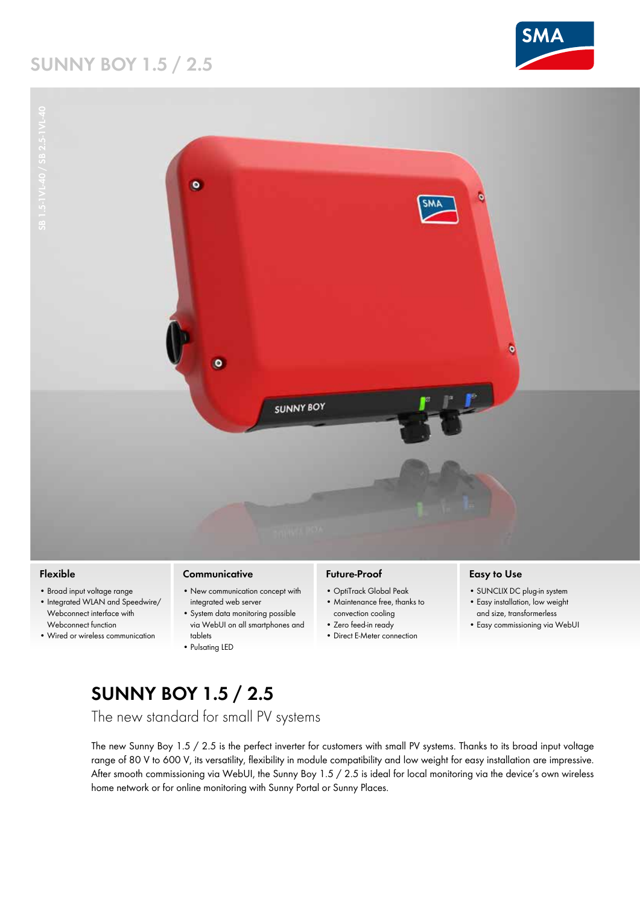## **Sunny Boy 1.5 / 2.5**





#### **Flexible**

- Broad input voltage range
- Integrated WLAN and Speedwire/ Webconnect interface with Webconnect function
- • Wired or wireless communication

#### **Communicative**

- New communication concept with integrated web server
- System data monitoring possible via WebUI on all smartphones and tablets
- • Pulsating LED

### **Future-Proof**

- • OptiTrack Global Peak • Maintenance free, thanks to
- convection cooling
- • Zero feed-in ready
- • Direct E-Meter connection

#### **Easy to Use**

- SUNCLIX DC plug-in system
- • Easy installation, low weight and size, transformerless
- Easy commissioning via WebUI

# **Sunny Boy 1.5 / 2.5**

The new standard for small PV systems

The new Sunny Boy 1.5 / 2.5 is the perfect inverter for customers with small PV systems. Thanks to its broad input voltage range of 80 V to 600 V, its versatility, flexibility in module compatibility and low weight for easy installation are impressive. After smooth commissioning via WebUI, the Sunny Boy 1.5 / 2.5 is ideal for local monitoring via the device's own wireless home network or for online monitoring with Sunny Portal or Sunny Places.